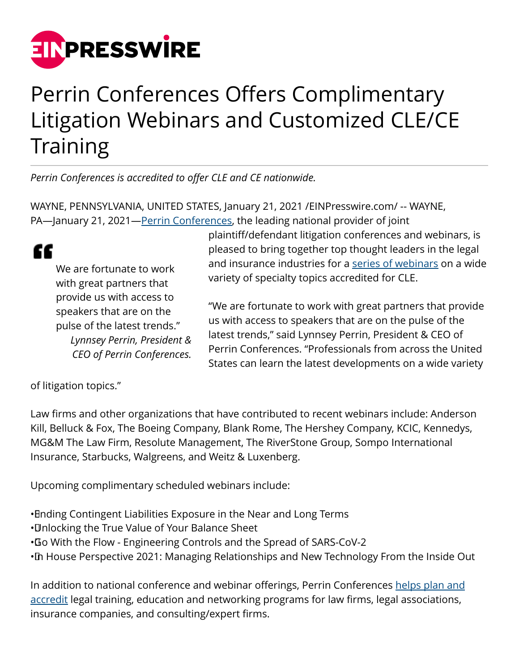

## Perrin Conferences Offers Complimentary Litigation Webinars and Customized CLE/CE **Training**

*Perrin Conferences is accredited to offer CLE and CE nationwide.*

WAYNE, PENNSYLVANIA, UNITED STATES, January 21, 2021 /[EINPresswire.com/](http://www.einpresswire.com) -- WAYNE, PA—January 21, 2021—[Perrin Conferences,](https://www.perrinconferences.com/) the leading national provider of joint

We are fortunate to work with great partners that provide us with access to speakers that are on the pulse of the latest trends." *Lynnsey Perrin, President & CEO of Perrin Conferences.*

plaintiff/defendant litigation conferences and webinars, is pleased to bring together top thought leaders in the legal and insurance industries for a [series of webinars](https://www.perrinconferences.com/webinars/) on a wide variety of specialty topics accredited for CLE.

"We are fortunate to work with great partners that provide us with access to speakers that are on the pulse of the latest trends," said Lynnsey Perrin, President & CEO of Perrin Conferences. "Professionals from across the United States can learn the latest developments on a wide variety

of litigation topics."

"

Law firms and other organizations that have contributed to recent webinars include: Anderson Kill, Belluck & Fox, The Boeing Company, Blank Rome, The Hershey Company, KCIC, Kennedys, MG&M The Law Firm, Resolute Management, The RiverStone Group, Sompo International Insurance, Starbucks, Walgreens, and Weitz & Luxenberg.

Upcoming complimentary scheduled webinars include:

• Ending Contingent Liabilities Exposure in the Near and Long Terms

• Unlocking the True Value of Your Balance Sheet

• Go With the Flow - Engineering Controls and the Spread of SARS-CoV-2

•In House Perspective 2021: Managing Relationships and New Technology From the Inside Out

In addition to national conference and webinar offerings, Perrin Conferences [helps plan and](https://www.perrinconferences.com/cle-ce/customized-cle-ce-training/) [accredit](https://www.perrinconferences.com/cle-ce/customized-cle-ce-training/) legal training, education and networking programs for law firms, legal associations, insurance companies, and consulting/expert firms.